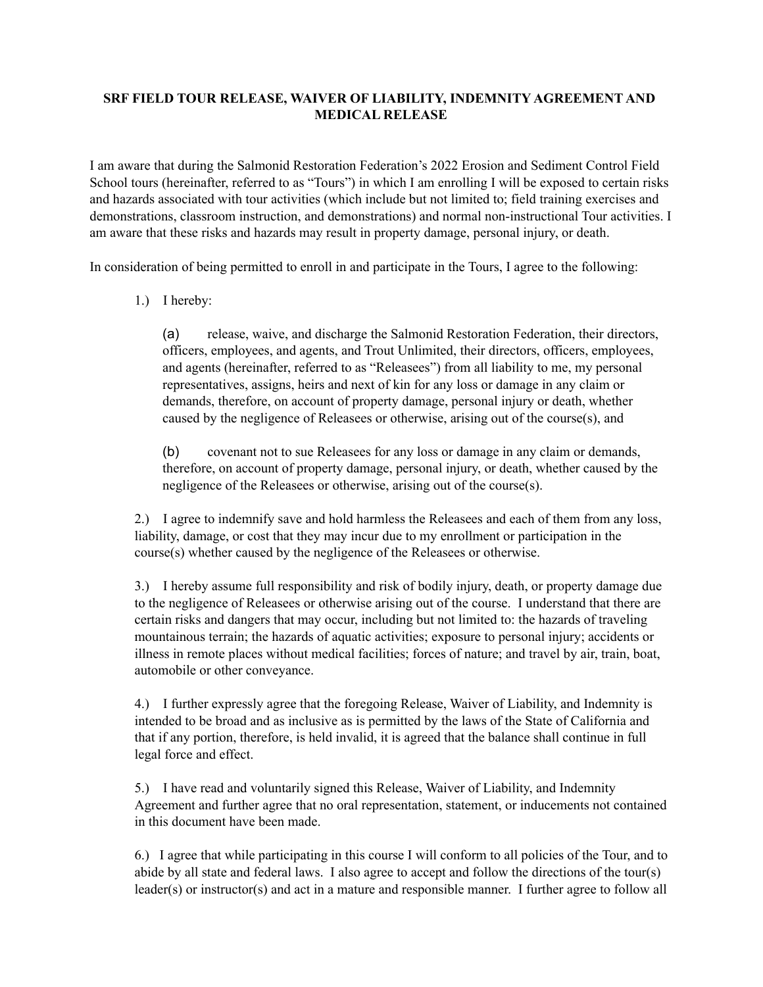## **SRF FIELD TOUR RELEASE, WAIVER OF LIABILITY, INDEMNITY AGREEMENT AND MEDICAL RELEASE**

I am aware that during the Salmonid Restoration Federation's 2022 Erosion and Sediment Control Field School tours (hereinafter, referred to as "Tours") in which I am enrolling I will be exposed to certain risks and hazards associated with tour activities (which include but not limited to; field training exercises and demonstrations, classroom instruction, and demonstrations) and normal non-instructional Tour activities. I am aware that these risks and hazards may result in property damage, personal injury, or death.

In consideration of being permitted to enroll in and participate in the Tours, I agree to the following:

1.) I hereby:

(a) release, waive, and discharge the Salmonid Restoration Federation, their directors, officers, employees, and agents, and Trout Unlimited, their directors, officers, employees, and agents (hereinafter, referred to as "Releasees") from all liability to me, my personal representatives, assigns, heirs and next of kin for any loss or damage in any claim or demands, therefore, on account of property damage, personal injury or death, whether caused by the negligence of Releasees or otherwise, arising out of the course(s), and

(b) covenant not to sue Releasees for any loss or damage in any claim or demands, therefore, on account of property damage, personal injury, or death, whether caused by the negligence of the Releasees or otherwise, arising out of the course(s).

2.) I agree to indemnify save and hold harmless the Releasees and each of them from any loss, liability, damage, or cost that they may incur due to my enrollment or participation in the course(s) whether caused by the negligence of the Releasees or otherwise.

3.) I hereby assume full responsibility and risk of bodily injury, death, or property damage due to the negligence of Releasees or otherwise arising out of the course. I understand that there are certain risks and dangers that may occur, including but not limited to: the hazards of traveling mountainous terrain; the hazards of aquatic activities; exposure to personal injury; accidents or illness in remote places without medical facilities; forces of nature; and travel by air, train, boat, automobile or other conveyance.

4.) I further expressly agree that the foregoing Release, Waiver of Liability, and Indemnity is intended to be broad and as inclusive as is permitted by the laws of the State of California and that if any portion, therefore, is held invalid, it is agreed that the balance shall continue in full legal force and effect.

5.) I have read and voluntarily signed this Release, Waiver of Liability, and Indemnity Agreement and further agree that no oral representation, statement, or inducements not contained in this document have been made.

6.) I agree that while participating in this course I will conform to all policies of the Tour, and to abide by all state and federal laws. I also agree to accept and follow the directions of the tour(s) leader(s) or instructor(s) and act in a mature and responsible manner. I further agree to follow all